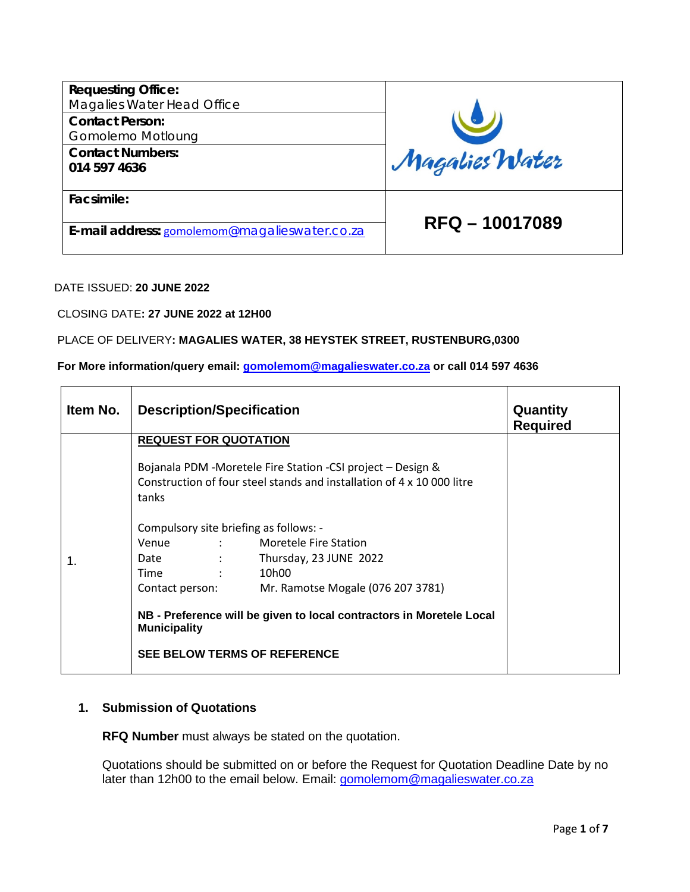| <b>Requesting Office:</b><br>Magalies Water Head Office |                |  |  |
|---------------------------------------------------------|----------------|--|--|
| <b>Contact Person:</b>                                  |                |  |  |
| Gomolemo Motloung                                       |                |  |  |
| <b>Contact Numbers:</b>                                 |                |  |  |
| 014 597 4636                                            | Magalies Water |  |  |
|                                                         |                |  |  |
| Facsimile:                                              |                |  |  |
|                                                         | RFQ - 10017089 |  |  |
| E-mail address: gomolemom@magalieswater.co.za           |                |  |  |
|                                                         |                |  |  |

#### DATE ISSUED: **20 JUNE 2022**

CLOSING DATE**: 27 JUNE 2022 at 12H00**

#### PLACE OF DELIVERY**: MAGALIES WATER, 38 HEYSTEK STREET, RUSTENBURG,0300**

### **For More information/query email: [gomolemom@magalieswater.co.za](mailto:gomolemom@magalieswater.co.za) or call 014 597 4636**

| Item No. | <b>Description/Specification</b>                                                            | Quantity<br><b>Required</b>                                                                                                           |  |
|----------|---------------------------------------------------------------------------------------------|---------------------------------------------------------------------------------------------------------------------------------------|--|
|          | <b>REQUEST FOR QUOTATION</b>                                                                |                                                                                                                                       |  |
|          | tanks                                                                                       | Bojanala PDM -Moretele Fire Station -CSI project - Design &<br>Construction of four steel stands and installation of 4 x 10 000 litre |  |
|          | Compulsory site briefing as follows: -                                                      |                                                                                                                                       |  |
|          | Venue                                                                                       | <b>Example 21 State Station Station Station</b>                                                                                       |  |
| 1.       | Date                                                                                        | : Thursday, 23 JUNE 2022                                                                                                              |  |
|          | Time                                                                                        | 10h00                                                                                                                                 |  |
|          | Contact person:                                                                             | Mr. Ramotse Mogale (076 207 3781)                                                                                                     |  |
|          | NB - Preference will be given to local contractors in Moretele Local<br><b>Municipality</b> |                                                                                                                                       |  |
|          | <b>SEE BELOW TERMS OF REFERENCE</b>                                                         |                                                                                                                                       |  |

## **1. Submission of Quotations**

**RFQ Number** must always be stated on the quotation.

Quotations should be submitted on or before the Request for Quotation Deadline Date by no later than 12h00 to the email below. Email: [gomolemom@magalieswater.co.za](mailto:gomolemom@magalieswater.co.za)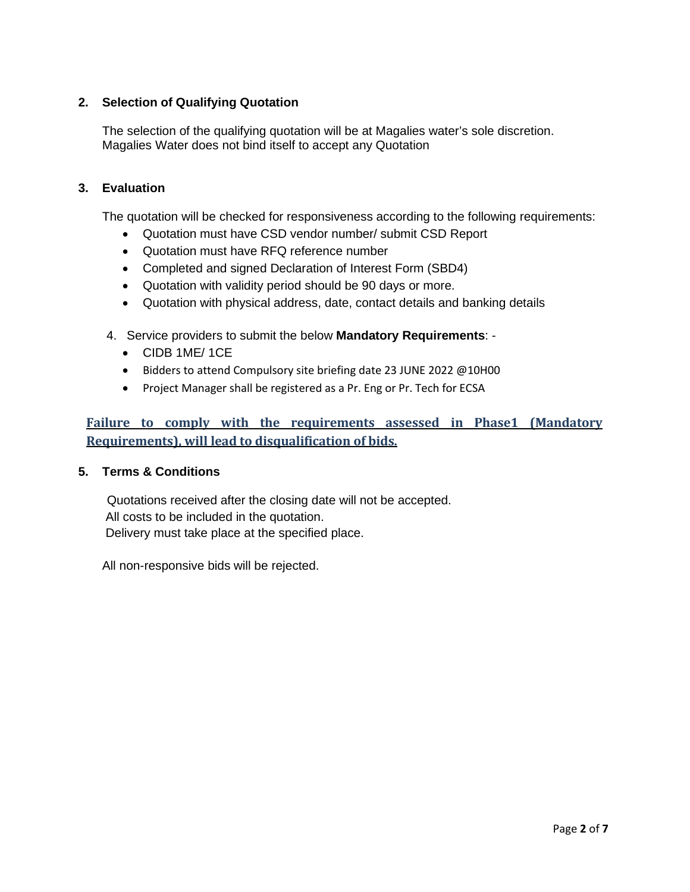## **2. Selection of Qualifying Quotation**

The selection of the qualifying quotation will be at Magalies water's sole discretion. Magalies Water does not bind itself to accept any Quotation

### **3. Evaluation**

The quotation will be checked for responsiveness according to the following requirements:

- Quotation must have CSD vendor number/ submit CSD Report
- Quotation must have RFQ reference number
- Completed and signed Declaration of Interest Form (SBD4)
- Quotation with validity period should be 90 days or more.
- Quotation with physical address, date, contact details and banking details
- 4. Service providers to submit the below **Mandatory Requirements**:
	- CIDB 1ME/ 1CE
	- Bidders to attend Compulsory site briefing date 23 JUNE 2022 @10H00
	- Project Manager shall be registered as a Pr. Eng or Pr. Tech for ECSA

# **Failure to comply with the requirements assessed in Phase1 (Mandatory Requirements), will lead to disqualification of bids.**

### **5. Terms & Conditions**

 Quotations received after the closing date will not be accepted. All costs to be included in the quotation. Delivery must take place at the specified place.

All non-responsive bids will be rejected.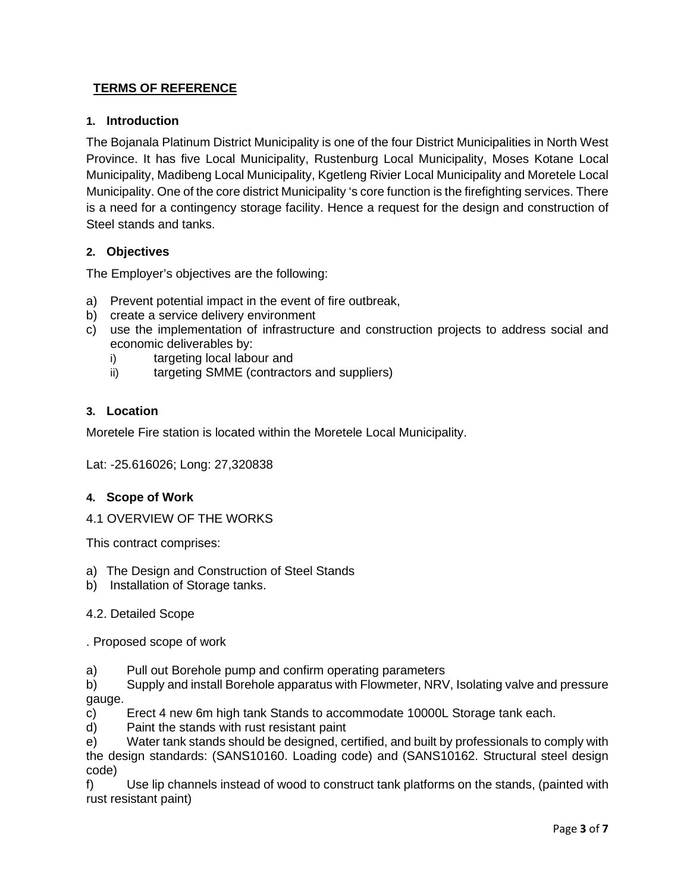## **TERMS OF REFERENCE**

### **1. Introduction**

The Bojanala Platinum District Municipality is one of the four District Municipalities in North West Province. It has five Local Municipality, Rustenburg Local Municipality, Moses Kotane Local Municipality, Madibeng Local Municipality, Kgetleng Rivier Local Municipality and Moretele Local Municipality. One of the core district Municipality 's core function is the firefighting services. There is a need for a contingency storage facility. Hence a request for the design and construction of Steel stands and tanks.

### **2. Objectives**

The Employer's objectives are the following:

- a) Prevent potential impact in the event of fire outbreak,
- b) create a service delivery environment
- c) use the implementation of infrastructure and construction projects to address social and economic deliverables by:
	- i) targeting local labour and
	- ii) targeting SMME (contractors and suppliers)

### **3. Location**

Moretele Fire station is located within the Moretele Local Municipality.

Lat: -25.616026; Long: 27,320838

#### **4. Scope of Work**

4.1 OVERVIEW OF THE WORKS

This contract comprises:

- a) The Design and Construction of Steel Stands
- b) Installation of Storage tanks.

4.2. Detailed Scope

. Proposed scope of work

a) Pull out Borehole pump and confirm operating parameters

b) Supply and install Borehole apparatus with Flowmeter, NRV, Isolating valve and pressure gauge.

- c) Erect 4 new 6m high tank Stands to accommodate 10000L Storage tank each.
- d) Paint the stands with rust resistant paint

e) Water tank stands should be designed, certified, and built by professionals to comply with the design standards: (SANS10160. Loading code) and (SANS10162. Structural steel design code)

f) Use lip channels instead of wood to construct tank platforms on the stands, (painted with rust resistant paint)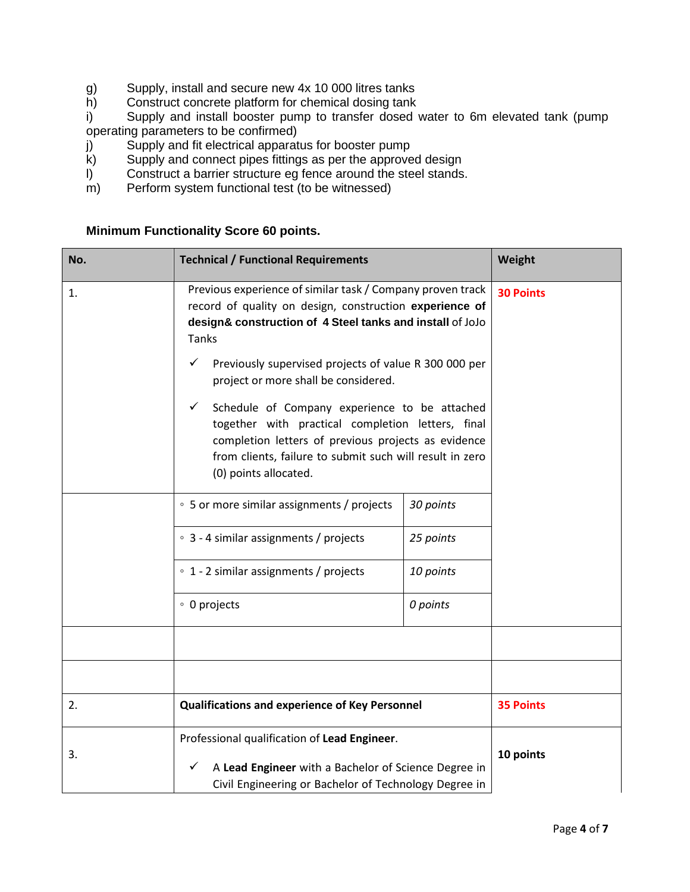- g) Supply, install and secure new 4x 10 000 litres tanks<br>h) Construct concrete platform for chemical dosing tank
- Construct concrete platform for chemical dosing tank

i) Supply and install booster pump to transfer dosed water to 6m elevated tank (pump operating parameters to be confirmed)

- j) Supply and fit electrical apparatus for booster pump
- k) Supply and connect pipes fittings as per the approved design
- l) Construct a barrier structure eg fence around the steel stands.
- $\overrightarrow{m}$  Perform system functional test (to be witnessed)

# **Minimum Functionality Score 60 points.**

| No. | <b>Technical / Functional Requirements</b>                                                                                                                                                                                                                                                             | Weight           |                  |
|-----|--------------------------------------------------------------------------------------------------------------------------------------------------------------------------------------------------------------------------------------------------------------------------------------------------------|------------------|------------------|
| 1.  | Previous experience of similar task / Company proven track<br>record of quality on design, construction experience of<br>design& construction of 4 Steel tanks and install of JoJo<br>Tanks<br>✓<br>Previously supervised projects of value R 300 000 per                                              | <b>30 Points</b> |                  |
|     | project or more shall be considered.<br>Schedule of Company experience to be attached<br>$\checkmark$<br>together with practical completion letters, final<br>completion letters of previous projects as evidence<br>from clients, failure to submit such will result in zero<br>(0) points allocated. |                  |                  |
|     | ○ 5 or more similar assignments / projects                                                                                                                                                                                                                                                             | 30 points        |                  |
|     | ○ 3 - 4 similar assignments / projects                                                                                                                                                                                                                                                                 | 25 points        |                  |
|     | ∘ 1 - 2 similar assignments / projects                                                                                                                                                                                                                                                                 | 10 points        |                  |
|     | ∘ 0 projects<br>0 points                                                                                                                                                                                                                                                                               |                  |                  |
|     |                                                                                                                                                                                                                                                                                                        |                  |                  |
|     |                                                                                                                                                                                                                                                                                                        |                  |                  |
| 2.  | <b>Qualifications and experience of Key Personnel</b>                                                                                                                                                                                                                                                  |                  | <b>35 Points</b> |
| 3.  | Professional qualification of Lead Engineer.<br>A Lead Engineer with a Bachelor of Science Degree in<br>✓<br>Civil Engineering or Bachelor of Technology Degree in                                                                                                                                     |                  | 10 points        |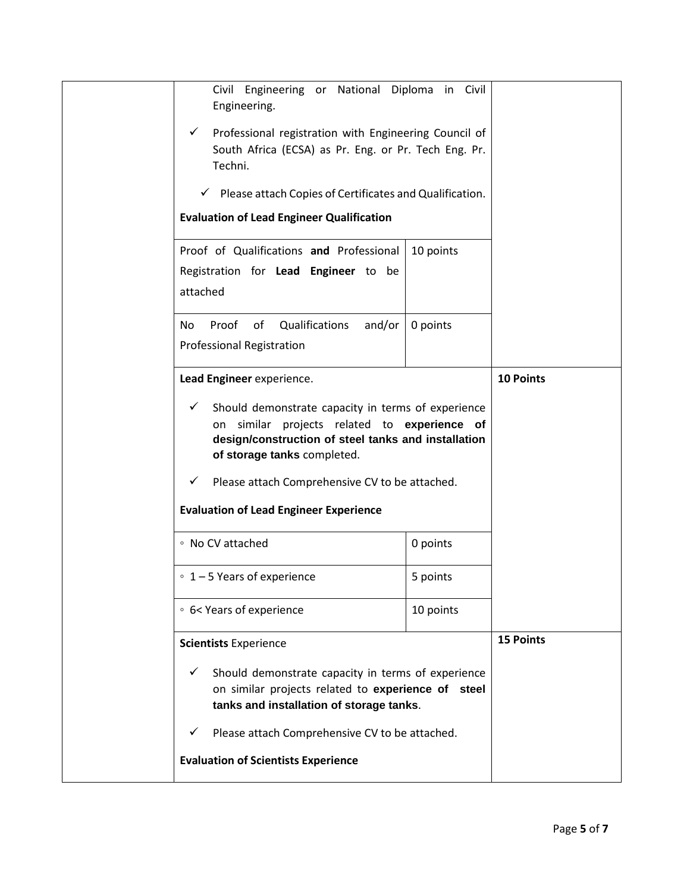| Civil Engineering or National Diploma in Civil<br>Engineering.<br>Professional registration with Engineering Council of<br>✓<br>South Africa (ECSA) as Pr. Eng. or Pr. Tech Eng. Pr.<br>Techni.<br>Please attach Copies of Certificates and Qualification.<br>✓<br><b>Evaluation of Lead Engineer Qualification</b> |                       |  |
|---------------------------------------------------------------------------------------------------------------------------------------------------------------------------------------------------------------------------------------------------------------------------------------------------------------------|-----------------------|--|
| Proof of Qualifications and Professional<br>Registration for Lead Engineer to be<br>attached                                                                                                                                                                                                                        | 10 points             |  |
| of Qualifications<br>and/or<br>Proof<br>No.<br><b>Professional Registration</b>                                                                                                                                                                                                                                     | 0 points              |  |
| Lead Engineer experience.<br>Should demonstrate capacity in terms of experience<br>✓<br>similar projects related to experience of<br>on<br>design/construction of steel tanks and installation<br>of storage tanks completed.<br>Please attach Comprehensive CV to be attached.<br>✓                                | <b>10 Points</b>      |  |
| <b>Evaluation of Lead Engineer Experience</b>                                                                                                                                                                                                                                                                       |                       |  |
| ∘ No CV attached                                                                                                                                                                                                                                                                                                    | 0 points              |  |
| $\degree$ 1 – 5 Years of experience<br>∘ 6< Years of experience                                                                                                                                                                                                                                                     | 5 points<br>10 points |  |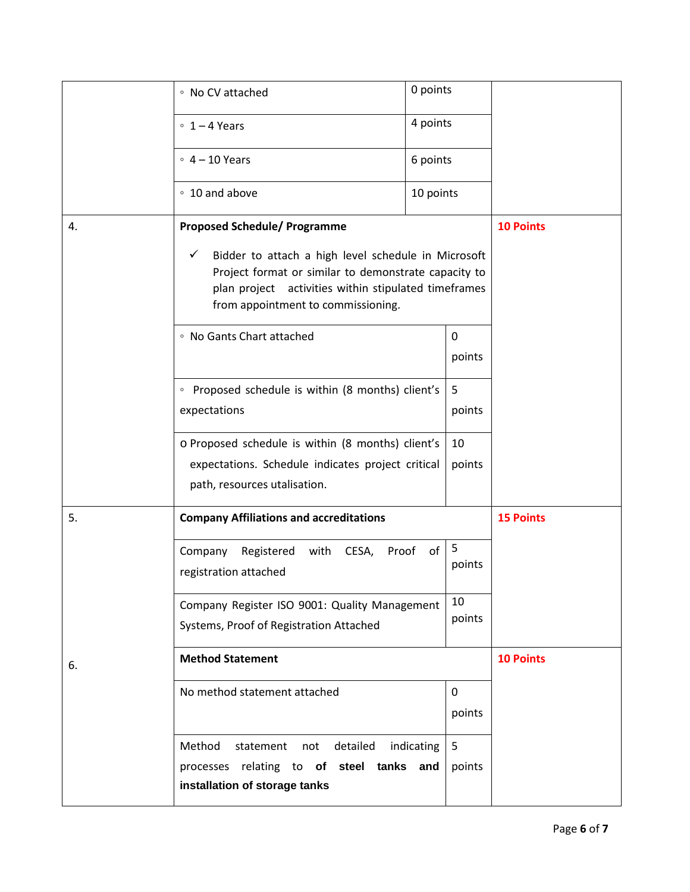|                                                                   | ∘ No CV attached                                                                                                                                                                                                          | 0 points   |                  |                  |  |
|-------------------------------------------------------------------|---------------------------------------------------------------------------------------------------------------------------------------------------------------------------------------------------------------------------|------------|------------------|------------------|--|
|                                                                   | $0 1 - 4$ Years                                                                                                                                                                                                           | 4 points   |                  |                  |  |
|                                                                   | $\degree$ 4 - 10 Years                                                                                                                                                                                                    | 6 points   |                  |                  |  |
|                                                                   | ∘ 10 and above                                                                                                                                                                                                            | 10 points  |                  |                  |  |
| 4.                                                                | <b>Proposed Schedule/ Programme</b>                                                                                                                                                                                       |            |                  | <b>10 Points</b> |  |
|                                                                   | Bidder to attach a high level schedule in Microsoft<br>$\checkmark$<br>Project format or similar to demonstrate capacity to<br>plan project activities within stipulated timeframes<br>from appointment to commissioning. |            |                  |                  |  |
|                                                                   | • No Gants Chart attached                                                                                                                                                                                                 |            | 0                |                  |  |
|                                                                   |                                                                                                                                                                                                                           |            | points           |                  |  |
|                                                                   | • Proposed schedule is within (8 months) client's                                                                                                                                                                         |            | 5                |                  |  |
| expectations<br>o Proposed schedule is within (8 months) client's |                                                                                                                                                                                                                           | points     |                  |                  |  |
|                                                                   |                                                                                                                                                                                                                           | 10         |                  |                  |  |
|                                                                   | expectations. Schedule indicates project critical                                                                                                                                                                         |            | points           |                  |  |
|                                                                   | path, resources utalisation.                                                                                                                                                                                              |            |                  |                  |  |
| 5.                                                                | <b>Company Affiliations and accreditations</b>                                                                                                                                                                            |            | <b>15 Points</b> |                  |  |
|                                                                   | Company<br>Registered with CESA,<br>Proof<br>registration attached                                                                                                                                                        | of         | 5<br>points      |                  |  |
|                                                                   | Company Register ISO 9001: Quality Management<br>Systems, Proof of Registration Attached                                                                                                                                  |            | 10<br>points     |                  |  |
| 6.                                                                | <b>Method Statement</b>                                                                                                                                                                                                   |            | <b>10 Points</b> |                  |  |
|                                                                   | No method statement attached                                                                                                                                                                                              |            | 0<br>points      |                  |  |
|                                                                   | Method<br>statement not detailed<br>processes relating to of steel tanks and<br>installation of storage tanks                                                                                                             | indicating | 5<br>points      |                  |  |